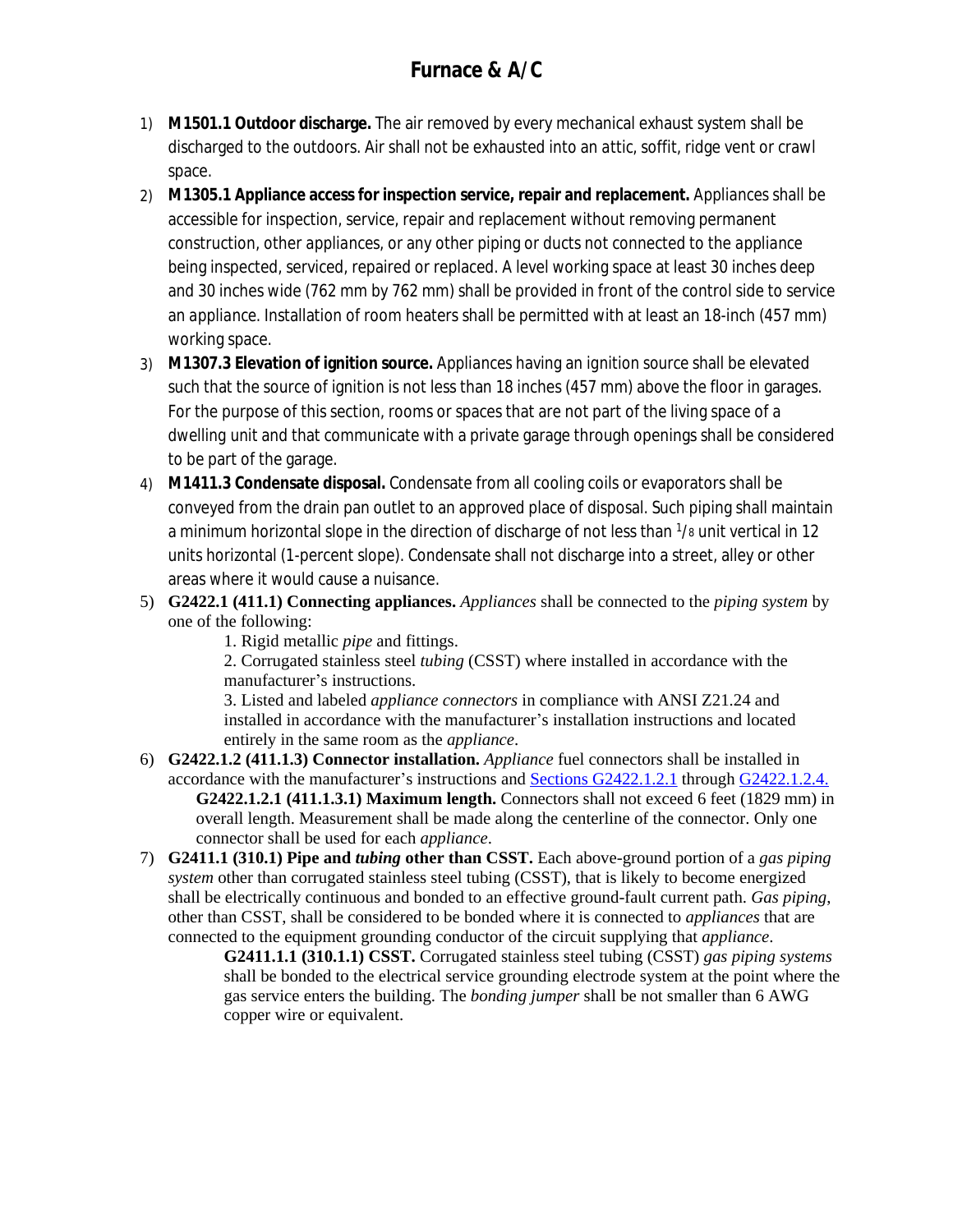- 1) **M1501.1 Outdoor discharge.** The air removed by every mechanical exhaust system shall be discharged to the outdoors. Air shall not be exhausted into an *attic*, soffit, ridge vent or crawl space.
- 2) **M1305.1 Appliance access for inspection service, repair and replacement.** *Appliances* shall be accessible for inspection, service, repair and replacement without removing permanent construction, other *appliances*, or any other piping or ducts not connected to the *appliance* being inspected, serviced, repaired or replaced. A level working space at least 30 inches deep and 30 inches wide (762 mm by 762 mm) shall be provided in front of the control side to service an *appliance*. Installation of room heaters shall be permitted with at least an 18-inch (457 mm) working space.
- 3) **M1307.3 Elevation of ignition source.** *Appliances* having an *ignition source* shall be elevated such that the source of ignition is not less than 18 inches (457 mm) above the floor in garages. For the purpose of this section, rooms or spaces that are not part of the living space of a *dwelling unit* and that communicate with a private garage through openings shall be considered to be part of the garage.
- 4) **M1411.3 Condensate disposal.** Condensate from all cooling coils or evaporators shall be conveyed from the drain pan outlet to an *approved* place of disposal. Such piping shall maintain a minimum horizontal slope in the direction of discharge of not less than 1/8 unit vertical in 12 units horizontal (1-percent slope). Condensate shall not discharge into a street, alley or other areas where it would cause a nuisance.
- 5) **G2422.1 (411.1) Connecting appliances.** *Appliances* shall be connected to the *piping system* by one of the following:

1. Rigid metallic *pipe* and fittings.

2. Corrugated stainless steel *tubing* (CSST) where installed in accordance with the manufacturer's instructions.

3. Listed and labeled *appliance connectors* in compliance with ANSI Z21.24 and installed in accordance with the manufacturer's installation instructions and located entirely in the same room as the *appliance*.

- 6) **G2422.1.2 (411.1.3) Connector installation.** *Appliance* fuel connectors shall be installed in accordance with the manufacturer's instructions and [Sections G2422.1.2.1](javascript:Next() through [G2422.1.2.4.](javascript:Next() **G2422.1.2.1 (411.1.3.1) Maximum length.** Connectors shall not exceed 6 feet (1829 mm) in overall length. Measurement shall be made along the centerline of the connector. Only one connector shall be used for each *appliance*.
- 7) **G2411.1 (310.1) Pipe and** *tubing* **other than CSST.** Each above-ground portion of a *gas piping system* other than corrugated stainless steel tubing (CSST), that is likely to become energized shall be electrically continuous and bonded to an effective ground-fault current path. *Gas piping*, other than CSST, shall be considered to be bonded where it is connected to *appliances* that are connected to the equipment grounding conductor of the circuit supplying that *appliance*.

**G2411.1.1 (310.1.1) CSST.** Corrugated stainless steel tubing (CSST) *gas piping systems* shall be bonded to the electrical service grounding electrode system at the point where the gas service enters the building. The *bonding jumper* shall be not smaller than 6 AWG copper wire or equivalent.